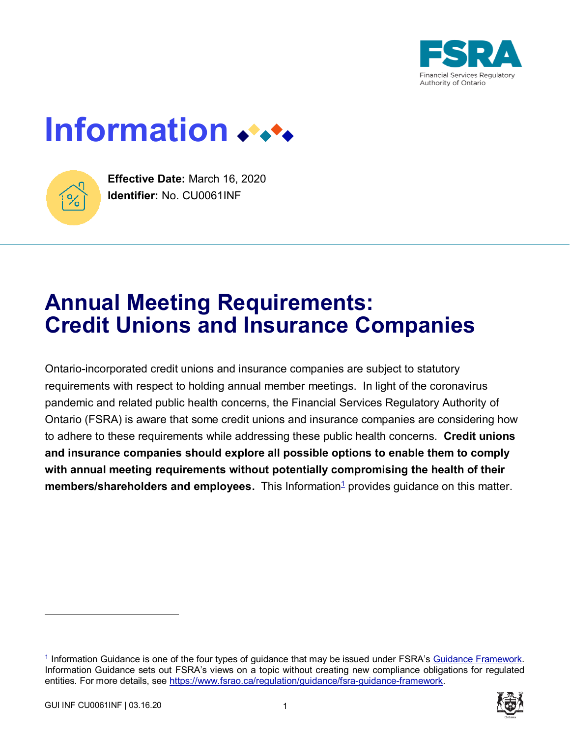

# **Information**



**Effective Date:** March 16, 2020 **Identifier:** No. CU0061INF

# **Annual Meeting Requirements: Credit Unions and Insurance Companies**

Ontario-incorporated credit unions and insurance companies are subject to statutory requirements with respect to holding annual member meetings. In light of the coronavirus pandemic and related public health concerns, the Financial Services Regulatory Authority of Ontario (FSRA) is aware that some credit unions and insurance companies are considering how to adhere to these requirements while addressing these public health concerns. **Credit unions and insurance companies should explore all possible options to enable them to comply with annual meeting requirements without potentially compromising the health of their**  members/shareholders and employees. This Information<sup>1</sup> provides guidance on this matter.

 $\overline{a}$ 



<sup>&</sup>lt;sup>1</sup> Information Guidance is one of the four types of guidance that may be issued under FSRA's [Guidance Framework.](https://www.fsrao.ca/regulation/guidance/fsra-guidance-framework) Information Guidance sets out FSRA's views on a topic without creating new compliance obligations for regulated entities. For more details, see [https://www.fsrao.ca/regulation/guidance/fsra-guidance-framework.](https://www.fsrao.ca/regulation/guidance/fsra-guidance-framework)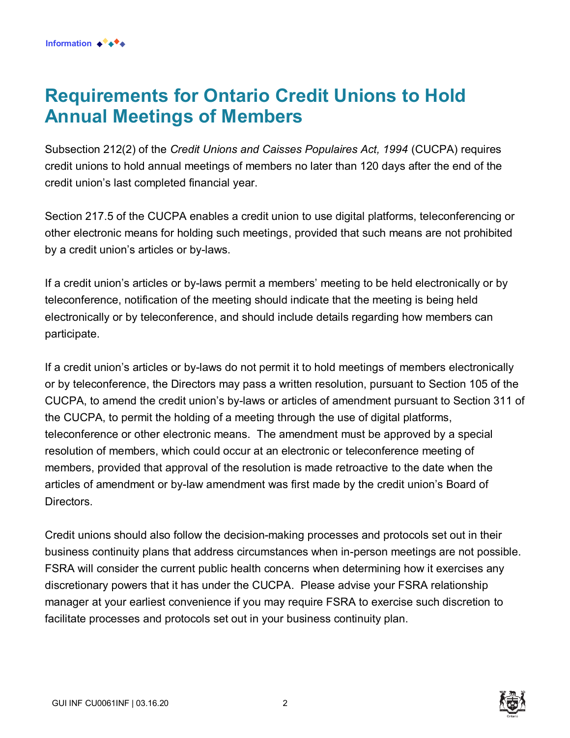#### **Requirements for Ontario Credit Unions to Hold Annual Meetings of Members**

Subsection 212(2) of the *Credit Unions and Caisses Populaires Act, 1994* (CUCPA) requires credit unions to hold annual meetings of members no later than 120 days after the end of the credit union's last completed financial year.

Section 217.5 of the CUCPA enables a credit union to use digital platforms, teleconferencing or other electronic means for holding such meetings, provided that such means are not prohibited by a credit union's articles or by-laws.

If a credit union's articles or by-laws permit a members' meeting to be held electronically or by teleconference, notification of the meeting should indicate that the meeting is being held electronically or by teleconference, and should include details regarding how members can participate.

If a credit union's articles or by-laws do not permit it to hold meetings of members electronically or by teleconference, the Directors may pass a written resolution, pursuant to Section 105 of the CUCPA, to amend the credit union's by-laws or articles of amendment pursuant to Section 311 of the CUCPA, to permit the holding of a meeting through the use of digital platforms, teleconference or other electronic means. The amendment must be approved by a special resolution of members, which could occur at an electronic or teleconference meeting of members, provided that approval of the resolution is made retroactive to the date when the articles of amendment or by-law amendment was first made by the credit union's Board of Directors.

Credit unions should also follow the decision-making processes and protocols set out in their business continuity plans that address circumstances when in-person meetings are not possible. FSRA will consider the current public health concerns when determining how it exercises any discretionary powers that it has under the CUCPA. Please advise your FSRA relationship manager at your earliest convenience if you may require FSRA to exercise such discretion to facilitate processes and protocols set out in your business continuity plan.

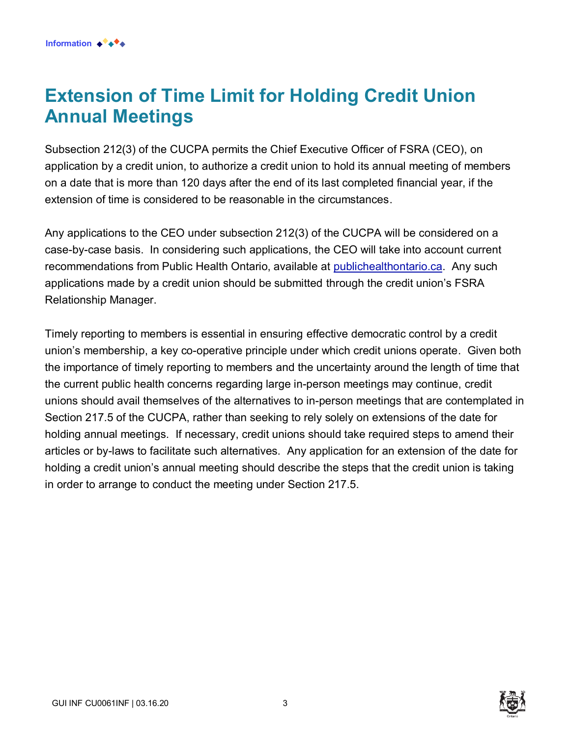#### **Extension of Time Limit for Holding Credit Union Annual Meetings**

Subsection 212(3) of the CUCPA permits the Chief Executive Officer of FSRA (CEO), on application by a credit union, to authorize a credit union to hold its annual meeting of members on a date that is more than 120 days after the end of its last completed financial year, if the extension of time is considered to be reasonable in the circumstances.

Any applications to the CEO under subsection 212(3) of the CUCPA will be considered on a case-by-case basis. In considering such applications, the CEO will take into account current recommendations from Public Health Ontario, available at [publichealthontario.ca.](http://www.publichealthontario.ca/) Any such applications made by a credit union should be submitted through the credit union's FSRA Relationship Manager.

Timely reporting to members is essential in ensuring effective democratic control by a credit union's membership, a key co-operative principle under which credit unions operate. Given both the importance of timely reporting to members and the uncertainty around the length of time that the current public health concerns regarding large in-person meetings may continue, credit unions should avail themselves of the alternatives to in-person meetings that are contemplated in Section 217.5 of the CUCPA, rather than seeking to rely solely on extensions of the date for holding annual meetings. If necessary, credit unions should take required steps to amend their articles or by-laws to facilitate such alternatives. Any application for an extension of the date for holding a credit union's annual meeting should describe the steps that the credit union is taking in order to arrange to conduct the meeting under Section 217.5.

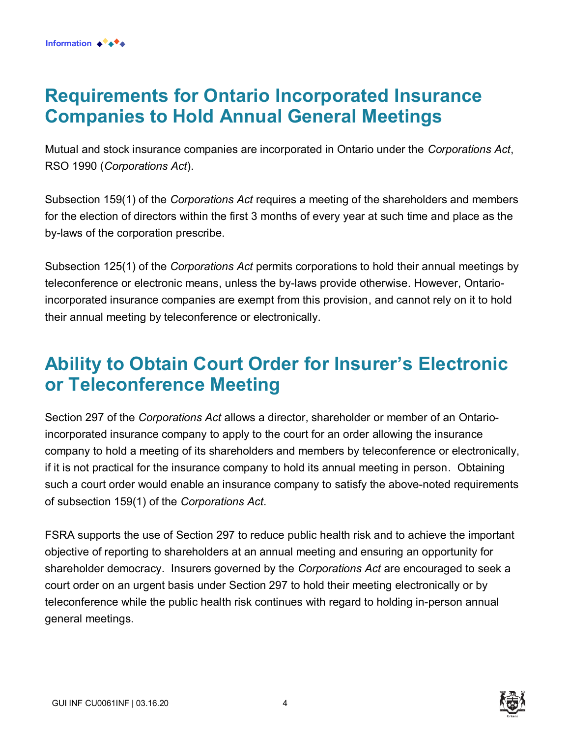#### **Requirements for Ontario Incorporated Insurance Companies to Hold Annual General Meetings**

Mutual and stock insurance companies are incorporated in Ontario under the *Corporations Act*, RSO 1990 (*Corporations Act*).

Subsection 159(1) of the *Corporations Act* requires a meeting of the shareholders and members for the election of directors within the first 3 months of every year at such time and place as the by-laws of the corporation prescribe.

Subsection 125(1) of the *Corporations Act* permits corporations to hold their annual meetings by teleconference or electronic means, unless the by-laws provide otherwise. However, Ontarioincorporated insurance companies are exempt from this provision, and cannot rely on it to hold their annual meeting by teleconference or electronically.

## **Ability to Obtain Court Order for Insurer's Electronic or Teleconference Meeting**

Section 297 of the *Corporations Act* allows a director, shareholder or member of an Ontarioincorporated insurance company to apply to the court for an order allowing the insurance company to hold a meeting of its shareholders and members by teleconference or electronically, if it is not practical for the insurance company to hold its annual meeting in person. Obtaining such a court order would enable an insurance company to satisfy the above-noted requirements of subsection 159(1) of the *Corporations Act*.

FSRA supports the use of Section 297 to reduce public health risk and to achieve the important objective of reporting to shareholders at an annual meeting and ensuring an opportunity for shareholder democracy. Insurers governed by the *Corporations Act* are encouraged to seek a court order on an urgent basis under Section 297 to hold their meeting electronically or by teleconference while the public health risk continues with regard to holding in-person annual general meetings.

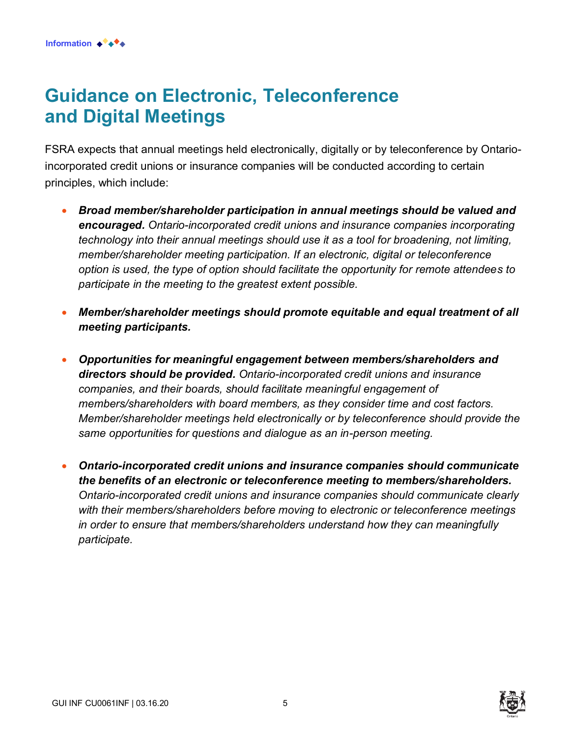### **Guidance on Electronic, Teleconference and Digital Meetings**

FSRA expects that annual meetings held electronically, digitally or by teleconference by Ontarioincorporated credit unions or insurance companies will be conducted according to certain principles, which include:

- *Broad member/shareholder participation in annual meetings should be valued and encouraged. Ontario-incorporated credit unions and insurance companies incorporating technology into their annual meetings should use it as a tool for broadening, not limiting, member/shareholder meeting participation. If an electronic, digital or teleconference option is used, the type of option should facilitate the opportunity for remote attendees to participate in the meeting to the greatest extent possible.*
- *Member/shareholder meetings should promote equitable and equal treatment of all meeting participants.*
- *Opportunities for meaningful engagement between members/shareholders and directors should be provided. Ontario-incorporated credit unions and insurance companies, and their boards, should facilitate meaningful engagement of members/shareholders with board members, as they consider time and cost factors. Member/shareholder meetings held electronically or by teleconference should provide the same opportunities for questions and dialogue as an in-person meeting.*
- *Ontario-incorporated credit unions and insurance companies should communicate the benefits of an electronic or teleconference meeting to members/shareholders. Ontario-incorporated credit unions and insurance companies should communicate clearly with their members/shareholders before moving to electronic or teleconference meetings in order to ensure that members/shareholders understand how they can meaningfully participate.*